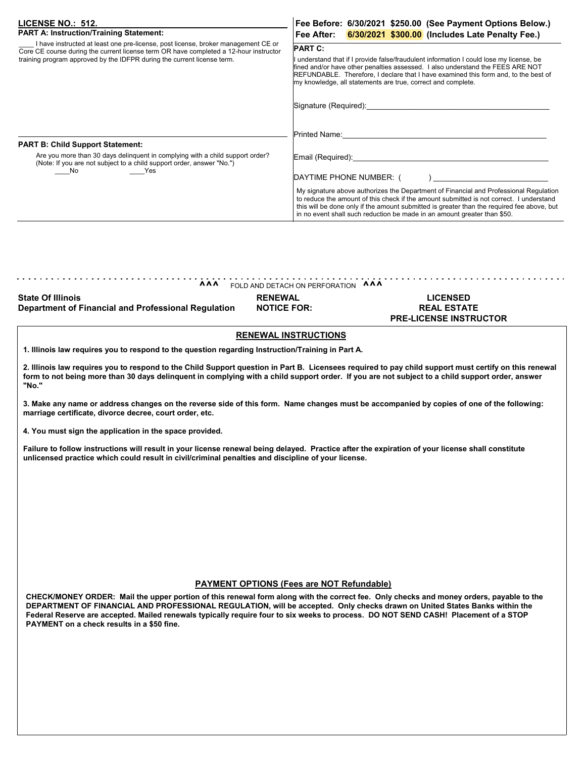| LICENSE NO.: 512.                                                                                                                                                                                                                                     | Fee Before: 6/30/2021 \$250.00 (See Payment Options Below.)                                                                                                                                                                                                                                                                                                                                                                                              |
|-------------------------------------------------------------------------------------------------------------------------------------------------------------------------------------------------------------------------------------------------------|----------------------------------------------------------------------------------------------------------------------------------------------------------------------------------------------------------------------------------------------------------------------------------------------------------------------------------------------------------------------------------------------------------------------------------------------------------|
| <b>PART A: Instruction/Training Statement:</b>                                                                                                                                                                                                        | Fee After: 6/30/2021 \$300.00 (Includes Late Penalty Fee.)                                                                                                                                                                                                                                                                                                                                                                                               |
| I have instructed at least one pre-license, post license, broker management CE or<br>Core CE course during the current license term OR have completed a 12-hour instructor<br>training program approved by the IDFPR during the current license term. | <b>PART C:</b><br>I understand that if I provide false/fraudulent information I could lose my license, be<br>fined and/or have other penalties assessed. I also understand the FEES ARE NOT<br>REFUNDABLE. Therefore, I declare that I have examined this form and, to the best of<br>my knowledge, all statements are true, correct and complete.<br>Signature (Required):                                                                              |
| <b>PART B: Child Support Statement:</b><br>Are you more than 30 days delinquent in complying with a child support order?<br>(Note: If you are not subject to a child support order, answer "No.")<br>No.<br>Yes                                       | <b>Printed Name:</b> Name<br>Email (Required): Email (Required)<br>DAYTIME PHONE NUMBER: (<br>My signature above authorizes the Department of Financial and Professional Regulation<br>to reduce the amount of this check if the amount submitted is not correct. I understand<br>this will be done only if the amount submitted is greater than the required fee above, but<br>in no event shall such reduction be made in an amount greater than \$50. |

| <b>State Of Illinois</b><br><b>RENEWAL</b><br>LICENSED<br><b>Department of Financial and Professional Regulation</b><br><b>NOTICE FOR:</b><br><b>REAL ESTATE</b><br><b>PRE-LICENSE INSTRUCTOR</b> | <b>AAA</b> | FOLD AND DETACH ON PERFORATION AAA |  |
|---------------------------------------------------------------------------------------------------------------------------------------------------------------------------------------------------|------------|------------------------------------|--|
|                                                                                                                                                                                                   |            |                                    |  |

## **RENEWAL INSTRUCTIONS**

**1. Illinois law requires you to respond to the question regarding Instruction/Training in Part A.**

**2. Illinois law requires you to respond to the Child Support question in Part B. Licensees required to pay child support must certify on this renewal form to not being more than 30 days delinquent in complying with a child support order. If you are not subject to a child support order, answer "No."**

**3. Make any name or address changes on the reverse side of this form. Name changes must be accompanied by copies of one of the following: marriage certificate, divorce decree, court order, etc.**

**4. You must sign the application in the space provided.**

**Failure to follow instructions will result in your license renewal being delayed. Practice after the expiration of your license shall constitute unlicensed practice which could result in civil/criminal penalties and discipline of your license.**

## **PAYMENT OPTIONS (Fees are NOT Refundable)**

**CHECK/MONEY ORDER: Mail the upper portion of this renewal form along with the correct fee. Only checks and money orders, payable to the DEPARTMENT OF FINANCIAL AND PROFESSIONAL REGULATION, will be accepted. Only checks drawn on United States Banks within the Federal Reserve are accepted. Mailed renewals typically require four to six weeks to process. DO NOT SEND CASH! Placement of a STOP PAYMENT on a check results in a \$50 fine.**